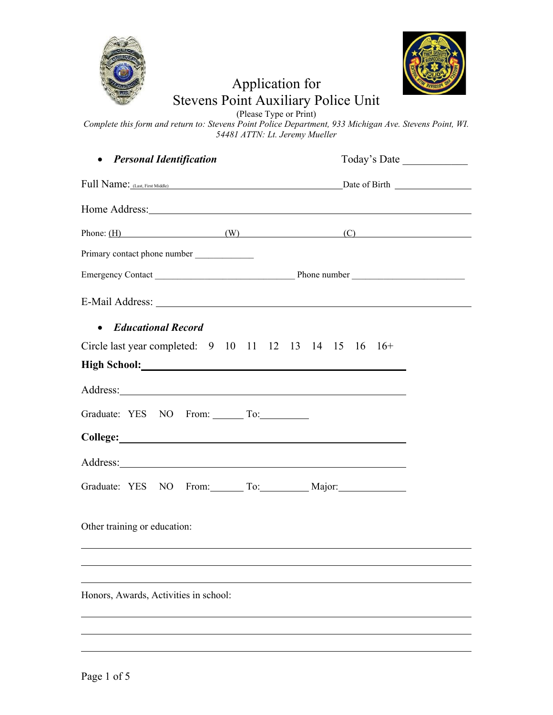



## Application for Stevens Point Auxiliary Police Unit

(Please Type or Print)

*Complete this form and return to: Stevens Point Police Department, 933 Michigan Ave. Stevens Point, WI. 54481 ATTN: Lt. Jeremy Mueller* 

| • Personal Identification                                                                                                                                                                                                            | Today's Date                                                                                                                                                                                                                   |
|--------------------------------------------------------------------------------------------------------------------------------------------------------------------------------------------------------------------------------------|--------------------------------------------------------------------------------------------------------------------------------------------------------------------------------------------------------------------------------|
|                                                                                                                                                                                                                                      |                                                                                                                                                                                                                                |
|                                                                                                                                                                                                                                      | Home Address: No. 1996. The Contract of the Contract of the Contract of the Contract of the Contract of the Contract of the Contract of the Contract of the Contract of the Contract of the Contract of the Contract of the Co |
|                                                                                                                                                                                                                                      | Phone: $(H)$ (W) (C)                                                                                                                                                                                                           |
| Primary contact phone number _____________                                                                                                                                                                                           |                                                                                                                                                                                                                                |
|                                                                                                                                                                                                                                      |                                                                                                                                                                                                                                |
|                                                                                                                                                                                                                                      |                                                                                                                                                                                                                                |
| • Educational Record                                                                                                                                                                                                                 |                                                                                                                                                                                                                                |
| Circle last year completed: $9 \t10 \t11 \t12 \t13 \t14 \t15 \t16 \t16+$                                                                                                                                                             |                                                                                                                                                                                                                                |
| High School: <u>Night School:</u> Night School:                                                                                                                                                                                      |                                                                                                                                                                                                                                |
|                                                                                                                                                                                                                                      |                                                                                                                                                                                                                                |
| Graduate: YES NO From: To:                                                                                                                                                                                                           |                                                                                                                                                                                                                                |
| College: College:                                                                                                                                                                                                                    |                                                                                                                                                                                                                                |
| Address: <u>example and the contract of the contract of the contract of the contract of the contract of the contract of the contract of the contract of the contract of the contract of the contract of the contract of the cont</u> |                                                                                                                                                                                                                                |
| Graduate: YES NO From: To: Major: Major:                                                                                                                                                                                             |                                                                                                                                                                                                                                |
| Other training or education:                                                                                                                                                                                                         |                                                                                                                                                                                                                                |
|                                                                                                                                                                                                                                      |                                                                                                                                                                                                                                |
|                                                                                                                                                                                                                                      |                                                                                                                                                                                                                                |
| Honors, Awards, Activities in school:                                                                                                                                                                                                |                                                                                                                                                                                                                                |
|                                                                                                                                                                                                                                      |                                                                                                                                                                                                                                |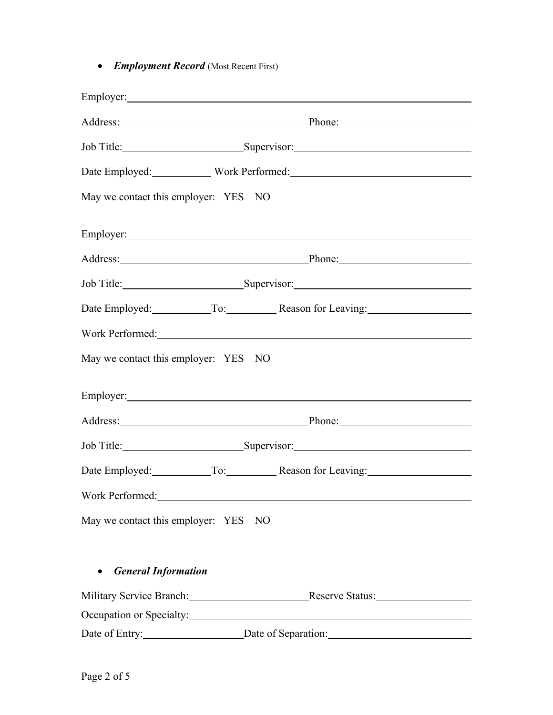• *Employment Record* (Most Recent First)

|                                      | Address: Phone: Phone:                                   |
|--------------------------------------|----------------------------------------------------------|
|                                      | Job Title: Supervisor: Supervisor:                       |
|                                      | Date Employed: Work Performed: Victor 2014               |
| May we contact this employer: YES NO |                                                          |
|                                      |                                                          |
|                                      | Address: Phone: Phone:                                   |
|                                      | Job Title: Supervisor: Supervisor:                       |
|                                      | Date Employed: To: Reason for Leaving:                   |
|                                      | Work Performed: North Performed:                         |
| May we contact this employer: YES NO |                                                          |
|                                      |                                                          |
|                                      | Address: Phone: Phone: Phone:                            |
|                                      | Job Title: Supervisor: Supervisor:                       |
|                                      | Date Employed: To: Reason for Leaving:                   |
| Work Performed:                      |                                                          |
| May we contact this employer: YES NO |                                                          |
| <b>General Information</b>           |                                                          |
|                                      | Military Service Branch: Reserve Status: Reserve Status: |
| Occupation or Specialty:             |                                                          |
| Date of Entry:                       |                                                          |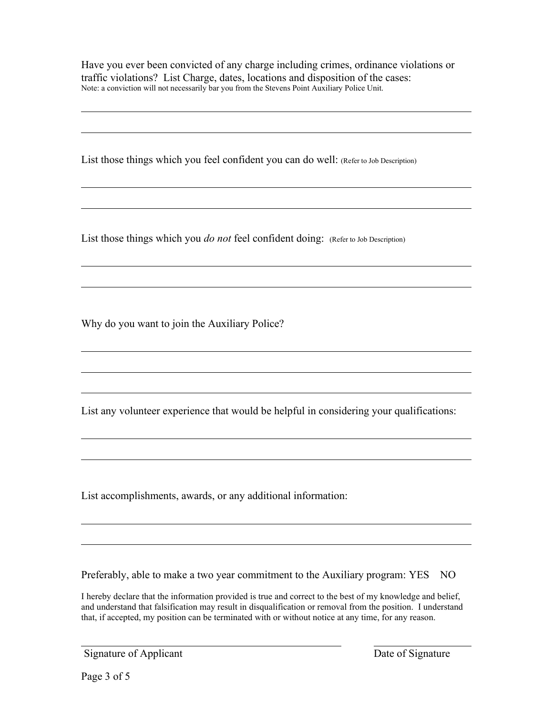Have you ever been convicted of any charge including crimes, ordinance violations or traffic violations? List Charge, dates, locations and disposition of the cases: Note: a conviction will not necessarily bar you from the Stevens Point Auxiliary Police Unit.

List those things which you feel confident you can do well: (Refer to Job Description)

List those things which you *do not* feel confident doing: (Refer to Job Description)

Why do you want to join the Auxiliary Police?

List any volunteer experience that would be helpful in considering your qualifications:

List accomplishments, awards, or any additional information:

Preferably, able to make a two year commitment to the Auxiliary program: YES NO

I hereby declare that the information provided is true and correct to the best of my knowledge and belief, and understand that falsification may result in disqualification or removal from the position. I understand that, if accepted, my position can be terminated with or without notice at any time, for any reason.

Signature of Applicant Date of Signature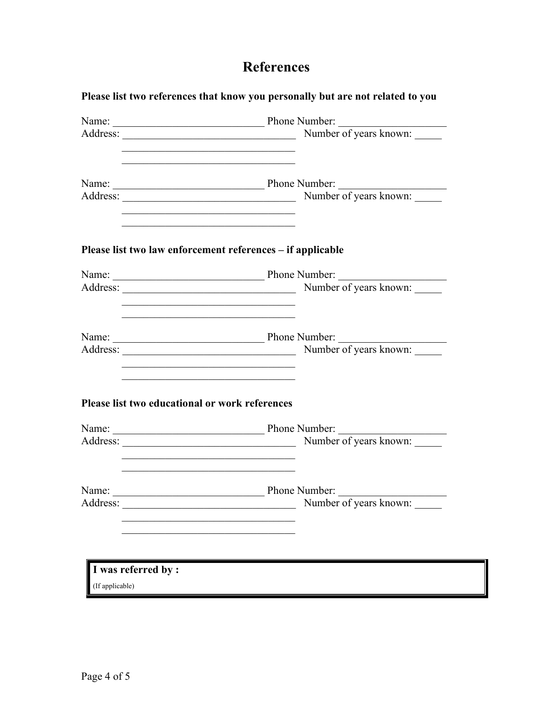## **References**

|                                                | Number of years known:                                                   |
|------------------------------------------------|--------------------------------------------------------------------------|
|                                                |                                                                          |
|                                                | Number of years known:                                                   |
|                                                | Please list two law enforcement references - if applicable               |
|                                                |                                                                          |
|                                                | Number of years known:                                                   |
|                                                |                                                                          |
|                                                |                                                                          |
| Please list two educational or work references | <u> 1989 - Johann John Stein, mars an deus Amerikaansk kommunister (</u> |
|                                                |                                                                          |
|                                                |                                                                          |
| Name:                                          | Phone Number:                                                            |
| Address:                                       | Number of years known:                                                   |
|                                                |                                                                          |
| I was referred by :                            |                                                                          |
| (If applicable)                                |                                                                          |